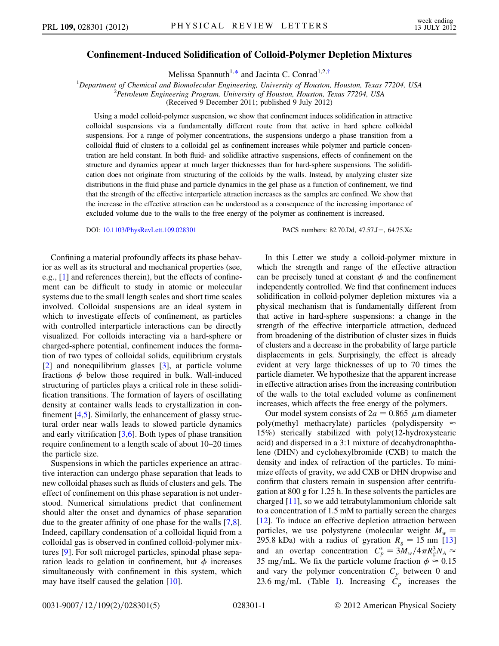## Confinement-Induced Solidification of Colloid-Polymer Depletion Mixtures

Melissa Spannuth<sup>1,[\\*](#page-4-0)</sup> and Jacinta C. Conrad<sup>1,2[,†](#page-4-1)</sup>

<span id="page-0-0"></span><sup>1</sup>Department of Chemical and Biomolecular Engineering, University of Houston, Houston, Texas 77204, USA  $^{2}$ Petroleum Engineering Program University of Houston, Houston, Texas 77204, USA <sup>2</sup>Petroleum Engineering Program, University of Houston, Houston, Texas 77204, USA

(Received 9 December 2011; published 9 July 2012)

Using a model colloid-polymer suspension, we show that confinement induces solidification in attractive colloidal suspensions via a fundamentally different route from that active in hard sphere colloidal suspensions. For a range of polymer concentrations, the suspensions undergo a phase transition from a colloidal fluid of clusters to a colloidal gel as confinement increases while polymer and particle concentration are held constant. In both fluid- and solidlike attractive suspensions, effects of confinement on the structure and dynamics appear at much larger thicknesses than for hard-sphere suspensions. The solidification does not originate from structuring of the colloids by the walls. Instead, by analyzing cluster size distributions in the fluid phase and particle dynamics in the gel phase as a function of confinement, we find that the strength of the effective interparticle attraction increases as the samples are confined. We show that the increase in the effective attraction can be understood as a consequence of the increasing importance of excluded volume due to the walls to the free energy of the polymer as confinement is increased.

DOI: [10.1103/PhysRevLett.109.028301](http://dx.doi.org/10.1103/PhysRevLett.109.028301) PACS numbers: 82.70.Dd, 47.57.J - 64.75.Xc

Confining a material profoundly affects its phase behavior as well as its structural and mechanical properties (see, e.g., [[1](#page-4-2)] and references therein), but the effects of confinement can be difficult to study in atomic or molecular systems due to the small length scales and short time scales involved. Colloidal suspensions are an ideal system in which to investigate effects of confinement, as particles with controlled interparticle interactions can be directly visualized. For colloids interacting via a hard-sphere or charged-sphere potential, confinement induces the formation of two types of colloidal solids, equilibrium crystals [\[2\]](#page-4-3) and nonequilibrium glasses [[3](#page-4-4)], at particle volume fractions  $\phi$  below those required in bulk. Wall-induced structuring of particles plays a critical role in these solidification transitions. The formation of layers of oscillating density at container walls leads to crystallization in confinement [[4,](#page-4-5)[5\]](#page-4-6). Similarly, the enhancement of glassy structural order near walls leads to slowed particle dynamics and early vitrification  $[3,6]$  $[3,6]$  $[3,6]$  $[3,6]$ . Both types of phase transition require confinement to a length scale of about 10–20 times the particle size.

Suspensions in which the particles experience an attractive interaction can undergo phase separation that leads to new colloidal phases such as fluids of clusters and gels. The effect of confinement on this phase separation is not understood. Numerical simulations predict that confinement should alter the onset and dynamics of phase separation due to the greater affinity of one phase for the walls [[7](#page-4-8),[8\]](#page-4-9). Indeed, capillary condensation of a colloidal liquid from a colloidal gas is observed in confined colloid-polymer mixtures [[9\]](#page-4-10). For soft microgel particles, spinodal phase separation leads to gelation in confinement, but  $\phi$  increases simultaneously with confinement in this system, which may have itself caused the gelation [\[10\]](#page-4-11).

In this Letter we study a colloid-polymer mixture in which the strength and range of the effective attraction can be precisely tuned at constant  $\phi$  and the confinement independently controlled. We find that confinement induces solidification in colloid-polymer depletion mixtures via a physical mechanism that is fundamentally different from that active in hard-sphere suspensions: a change in the strength of the effective interparticle attraction, deduced from broadening of the distribution of cluster sizes in fluids of clusters and a decrease in the probability of large particle displacements in gels. Surprisingly, the effect is already evident at very large thicknesses of up to 70 times the particle diameter. We hypothesize that the apparent increase in effective attraction arises from the increasing contribution of the walls to the total excluded volume as confinement increases, which affects the free energy of the polymers.

Our model system consists of  $2a = 0.865 \mu$ m diameter poly(methyl methacrylate) particles (polydispersity  $\approx$ 15%) sterically stabilized with poly(12-hydroxystearic acid) and dispersed in a 3:1 mixture of decahydronaphthalene (DHN) and cyclohexylbromide (CXB) to match the density and index of refraction of the particles. To minimize effects of gravity, we add CXB or DHN dropwise and confirm that clusters remain in suspension after centrifugation at 800 g for 1.25 h. In these solvents the particles are charged [\[11\]](#page-4-12), so we add tetrabutylammonium chloride salt to a concentration of 1.5 mM to partially screen the charges [\[12\]](#page-4-13). To induce an effective depletion attraction between particles, we use polystyrene (molecular weight  $M_w =$ 295.8 kDa) with a radius of gyration  $R_g = 15$  nm [\[13\]](#page-4-14) and an overlap concentration  $C_p^* = 3M_w/4\pi R_g^3 N_A \approx$ 35 mg/mL. We fix the particle volume fraction  $\phi \approx 0.15$ and vary the polymer concentration  $C_p$  between 0 and 23.6 mg/mL (Table [I\)](#page-1-0). Increasing  $C_p$  increases the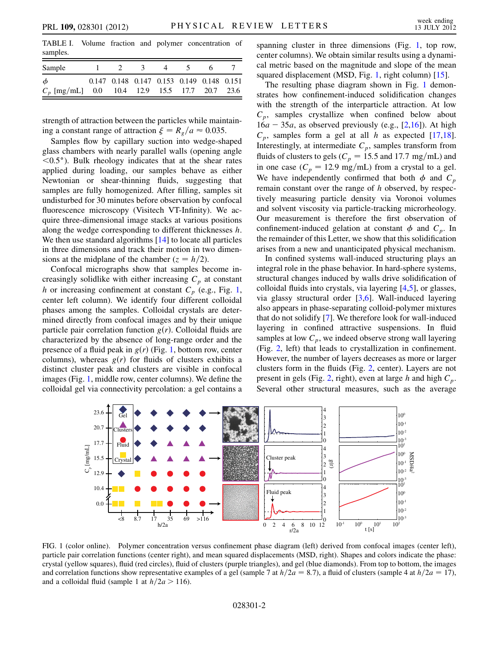<span id="page-1-0"></span>TABLE I. Volume fraction and polymer concentration of samples.

| Sample                                                    |  | $\sim$ 3 |                                           |  |  |
|-----------------------------------------------------------|--|----------|-------------------------------------------|--|--|
| $\phi$<br>$C_p$ [mg/mL] 0.0 10.4 12.9 15.5 17.7 20.7 23.6 |  |          | 0.147 0.148 0.147 0.153 0.149 0.148 0.151 |  |  |

strength of attraction between the particles while maintaining a constant range of attraction  $\xi = R_a/a \approx 0.035$ .

Samples flow by capillary suction into wedge-shaped glass chambers with nearly parallel walls (opening angle  $\leq 0.5^{\circ}$ ). Bulk rheology indicates that at the shear rates applied during loading, our samples behave as either Newtonian or shear-thinning fluids, suggesting that samples are fully homogenized. After filling, samples sit undisturbed for 30 minutes before observation by confocal fluorescence microscopy (Visitech VT-Infinity). We acquire three-dimensional image stacks at various positions along the wedge corresponding to different thicknesses h. We then use standard algorithms [[14](#page-4-15)] to locate all particles in three dimensions and track their motion in two dimensions at the midplane of the chamber  $(z = h/2)$ .

Confocal micrographs show that samples become increasingly solidlike with either increasing  $C_p$  at constant h or increasing confinement at constant  $C_p$  (e.g., Fig. [1](#page-1-1), center left column). We identify four different colloidal phases among the samples. Colloidal crystals are determined directly from confocal images and by their unique particle pair correlation function  $g(r)$ . Colloidal fluids are characterized by the absence of long-range order and the presence of a fluid peak in  $g(r)$  (Fig. [1](#page-1-1), bottom row, center columns), whereas  $g(r)$  for fluids of clusters exhibits a distinct cluster peak and clusters are visible in confocal images (Fig. [1,](#page-1-1) middle row, center columns). We define the colloidal gel via connectivity percolation: a gel contains a spanning cluster in three dimensions (Fig. [1](#page-1-1), top row, center columns). We obtain similar results using a dynamical metric based on the magnitude and slope of the mean squared displacement (MSD, Fig. [1](#page-1-1), right column) [\[15\]](#page-4-16).

The resulting phase diagram shown in Fig. [1](#page-1-1) demonstrates how confinement-induced solidification changes with the strength of the interparticle attraction. At low  $C_p$ , samples crystallize when confined below about  $16a - 35a$  $16a - 35a$ , as observed previously (e.g., [\[2](#page-4-3),16]). At high  $C_p$ , samples form a gel at all h as expected [\[17,](#page-4-18)[18\]](#page-4-19). Interestingly, at intermediate  $C_p$ , samples transform from fluids of clusters to gels ( $C_p = 15.5$  and 17.7 mg/mL) and in one case ( $C_p = 12.9$  mg/mL) from a crystal to a gel. We have independently confirmed that both  $\phi$  and  $C_p$ remain constant over the range of h observed, by respectively measuring particle density via Voronoi volumes and solvent viscosity via particle-tracking microrheology. Our measurement is therefore the first observation of confinement-induced gelation at constant  $\phi$  and  $C_p$ . In the remainder of this Letter, we show that this solidification arises from a new and unanticipated physical mechanism.

In confined systems wall-induced structuring plays an integral role in the phase behavior. In hard-sphere systems, structural changes induced by walls drive solidification of colloidal fluids into crystals, via layering [\[4](#page-4-5)[,5](#page-4-6)], or glasses, via glassy structural order [[3,](#page-4-4)[6\]](#page-4-7). Wall-induced layering also appears in phase-separating colloid-polymer mixtures that do not solidify [[7\]](#page-4-8). We therefore look for wall-induced layering in confined attractive suspensions. In fluid samples at low  $C_p$ , we indeed observe strong wall layering (Fig. [2](#page-2-0), left) that leads to crystallization in confinement. However, the number of layers decreases as more or larger clusters form in the fluids (Fig. [2](#page-2-0), center). Layers are not present in gels (Fig. [2,](#page-2-0) right), even at large h and high  $C_p$ . Several other structural measures, such as the average

<span id="page-1-1"></span>

FIG. 1 (color online). Polymer concentration versus confinement phase diagram (left) derived from confocal images (center left), particle pair correlation functions (center right), and mean squared displacements (MSD, right). Shapes and colors indicate the phase: crystal (yellow squares), fluid (red circles), fluid of clusters (purple triangles), and gel (blue diamonds). From top to bottom, the images and correlation functions show representative examples of a gel (sample 7 at  $h/2a = 8.7$ ), a fluid of clusters (sample 4 at  $h/2a = 17$ ), and a colloidal fluid (sample 1 at  $h/2a > 116$ ).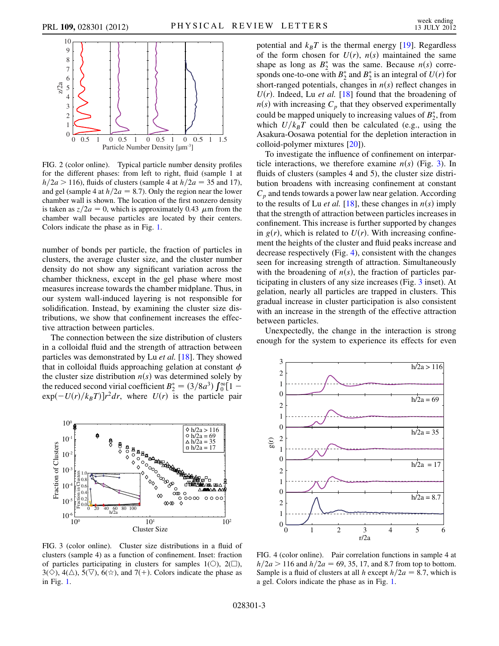<span id="page-2-0"></span>

FIG. 2 (color online). Typical particle number density profiles for the different phases: from left to right, fluid (sample 1 at  $h/2a > 116$ ), fluids of clusters (sample 4 at  $h/2a = 35$  and 17), and gel (sample 4 at  $h/2a = 8.7$ ). Only the region near the lower chamber wall is shown. The location of the first nonzero density is taken as  $z/2a = 0$ , which is approximately 0.43  $\mu$ m from the chamber wall because particles are located by their centers. Colors indicate the phase as in Fig. [1.](#page-1-1)

number of bonds per particle, the fraction of particles in clusters, the average cluster size, and the cluster number density do not show any significant variation across the chamber thickness, except in the gel phase where most measures increase towards the chamber midplane. Thus, in our system wall-induced layering is not responsible for solidification. Instead, by examining the cluster size distributions, we show that confinement increases the effective attraction between particles.

The connection between the size distribution of clusters in a colloidal fluid and the strength of attraction between particles was demonstrated by Lu et al. [\[18\]](#page-4-19). They showed that in colloidal fluids approaching gelation at constant  $\phi$ the cluster size distribution  $n(s)$  was determined solely by the reduced second virial coefficient  $B_2^* = (3/8a^3) \int_0^{\infty} [1$  $exp(-U(r)/k_BT)]r^2dr$ , where  $U(r)$  is the particle pair

<span id="page-2-1"></span>

FIG. 3 (color online). Cluster size distributions in a fluid of clusters (sample 4) as a function of confinement. Inset: fraction of particles participating in clusters for samples  $1(\bigcirc)$ ,  $2(\bigcirc)$ ,  $3(\diamond)$ ,  $4(\triangle)$ ,  $5(\triangledown)$ ,  $6(\diamond)$ , and  $7(+)$ . Colors indicate the phase as in Fig. [1](#page-1-1).

potential and  $k_BT$  is the thermal energy [[19](#page-4-20)]. Regardless of the form chosen for  $U(r)$ ,  $n(s)$  maintained the same shape as long as  $B_2^*$  was the same. Because  $n(s)$  corresponds one-to-one with  $B_2^*$  and  $B_2^*$  is an integral of  $U(r)$  for short-ranged potentials, changes in  $n(s)$  reflect changes in  $U(r)$ . Indeed, Lu *et al.* [[18](#page-4-19)] found that the broadening of  $n(s)$  with increasing  $C_p$  that they observed experimentally could be mapped uniquely to increasing values of  $B_2^*$ , from which  $U/k_BT$  could then be calculated (e.g., using the Asakura-Oosawa potential for the depletion interaction in colloid-polymer mixtures [[20](#page-4-21)]).

To investigate the influence of confinement on interparticle interactions, we therefore examine  $n(s)$  (Fig. [3](#page-2-1)). In fluids of clusters (samples 4 and 5), the cluster size distribution broadens with increasing confinement at constant  $C_p$  and tends towards a power law near gelation. According to the results of Lu *et al.* [[18](#page-4-19)], these changes in  $n(s)$  imply that the strength of attraction between particles increases in confinement. This increase is further supported by changes in  $g(r)$ , which is related to  $U(r)$ . With increasing confinement the heights of the cluster and fluid peaks increase and decrease respectively (Fig. [4](#page-2-2)), consistent with the changes seen for increasing strength of attraction. Simultaneously with the broadening of  $n(s)$ , the fraction of particles participating in clusters of any size increases (Fig. [3](#page-2-1) inset). At gelation, nearly all particles are trapped in clusters. This gradual increase in cluster participation is also consistent with an increase in the strength of the effective attraction between particles.

Unexpectedly, the change in the interaction is strong enough for the system to experience its effects for even

<span id="page-2-2"></span>

FIG. 4 (color online). Pair correlation functions in sample 4 at  $h/2a > 116$  and  $h/2a = 69, 35, 17,$  and 8.7 from top to bottom. Sample is a fluid of clusters at all h except  $h/2a = 8.7$ , which is a gel. Colors indicate the phase as in Fig. [1](#page-1-1).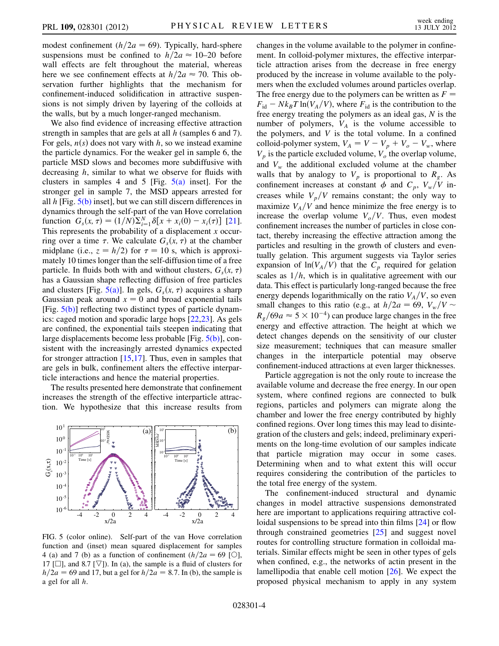modest confinement ( $h/2a = 69$ ). Typically, hard-sphere suspensions must be confined to  $h/2a \approx 10-20$  before wall effects are felt throughout the material, whereas here we see confinement effects at  $h/2a \approx 70$ . This observation further highlights that the mechanism for confinement-induced solidification in attractive suspensions is not simply driven by layering of the colloids at the walls, but by a much longer-ranged mechanism.

We also find evidence of increasing effective attraction strength in samples that are gels at all h (samples 6 and 7). For gels,  $n(s)$  does not vary with h, so we instead examine the particle dynamics. For the weaker gel in sample 6, the particle MSD slows and becomes more subdiffusive with decreasing h, similar to what we observe for fluids with clusters in samples 4 and 5 [Fig.  $5(a)$  inset]. For the stronger gel in sample 7, the MSD appears arrested for all  $h$  [Fig.  $5(b)$  inset], but we can still discern differences in dynamics through the self-part of the van Hove correlation function  $G_s(x, \tau) = (1/N)\sum_{i=1}^N \delta[x + x_i(0) - x_i(\tau)]$  [\[21\]](#page-4-22). This represents the probability of a displacement  $x$  occurring over a time  $\tau$ . We calculate  $G_s(x, \tau)$  at the chamber midplane (i.e.,  $z = h/2$ ) for  $\tau = 10$  s, which is approximately 10 times longer than the self-diffusion time of a free particle. In fluids both with and without clusters,  $G_s(x, \tau)$ has a Gaussian shape reflecting diffusion of free particles and clusters [Fig.  $5(a)$ ]. In gels,  $G<sub>s</sub>(x, \tau)$  acquires a sharp Gaussian peak around  $x = 0$  and broad exponential tails [Fig. [5\(b\)](#page-3-0)] reflecting two distinct types of particle dynamics: caged motion and sporadic large hops [[22](#page-4-23),[23](#page-4-24)]. As gels are confined, the exponential tails steepen indicating that large displacements become less probable [Fig. [5\(b\)\]](#page-3-0), consistent with the increasingly arrested dynamics expected for stronger attraction [\[15,](#page-4-16)[17\]](#page-4-18). Thus, even in samples that are gels in bulk, confinement alters the effective interparticle interactions and hence the material properties.

The results presented here demonstrate that confinement increases the strength of the effective interparticle attraction. We hypothesize that this increase results from



<span id="page-3-0"></span>FIG. 5 (color online). Self-part of the van Hove correlation function and (inset) mean squared displacement for samples 4 (a) and 7 (b) as a function of confinement  $(h/2a = 69$  [ $\odot$ ], 17  $[\Box]$ , and 8.7  $[\nabla]$ ). In (a), the sample is a fluid of clusters for  $h/2a = 69$  and 17, but a gel for  $h/2a = 8.7$ . In (b), the sample is a gel for all h.

changes in the volume available to the polymer in confinement. In colloid-polymer mixtures, the effective interparticle attraction arises from the decrease in free energy produced by the increase in volume available to the polymers when the excluded volumes around particles overlap. The free energy due to the polymers can be written as  $F =$  $F_{\rm id} - Nk_BT \ln(V_A/V)$ , where  $F_{\rm id}$  is the contribution to the free energy treating the polymers as an ideal gas,  $N$  is the number of polymers,  $V_A$  is the volume accessible to the polymers, and  $V$  is the total volume. In a confined colloid-polymer system,  $V_A = V - V_p + V_o - V_w$ , where  $V_p$  is the particle excluded volume,  $V_p$  the overlap volume, and  $V_w$  the additional excluded volume at the chamber walls that by analogy to  $V_p$  is proportional to  $R_g$ . As confinement increases at constant  $\phi$  and  $C_p$ ,  $V_w/V$  increases while  $V_p/V$  remains constant; the only way to maximize  $V_A/V$  and hence minimize the free energy is to increase the overlap volume  $V_o/V$ . Thus, even modest confinement increases the number of particles in close contact, thereby increasing the effective attraction among the particles and resulting in the growth of clusters and eventually gelation. This argument suggests via Taylor series expansion of  $ln(V_A/V)$  that the  $C_p$  required for gelation scales as  $1/h$ , which is in qualitative agreement with our data. This effect is particularly long-ranged because the free energy depends logarithmically on the ratio  $V_A/V$ , so even small changes to this ratio (e.g., at  $h/2a = 69$ ,  $V_w/V \sim$  $R_g/69a \approx 5 \times 10^{-4}$ ) can produce large changes in the free energy and effective attraction. The height at which we detect changes depends on the sensitivity of our cluster size measurement; techniques that can measure smaller changes in the interparticle potential may observe confinement-induced attractions at even larger thicknesses.

Particle aggregation is not the only route to increase the available volume and decrease the free energy. In our open system, where confined regions are connected to bulk regions, particles and polymers can migrate along the chamber and lower the free energy contributed by highly confined regions. Over long times this may lead to disintegration of the clusters and gels; indeed, preliminary experiments on the long-time evolution of our samples indicate that particle migration may occur in some cases. Determining when and to what extent this will occur requires considering the contribution of the particles to the total free energy of the system.

The confinement-induced structural and dynamic changes in model attractive suspensions demonstrated here are important to applications requiring attractive col-loidal suspensions to be spread into thin films [[24\]](#page-4-25) or flow through constrained geometries [[25](#page-4-26)] and suggest novel routes for controlling structure formation in colloidal materials. Similar effects might be seen in other types of gels when confined, e.g., the networks of actin present in the lamellipodia that enable cell motion [\[26\]](#page-4-27). We expect the proposed physical mechanism to apply in any system